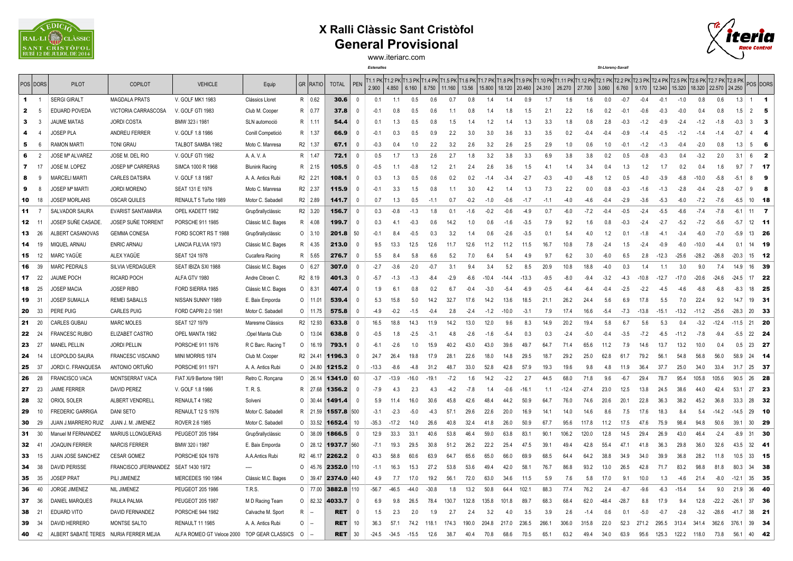

## **X Ralli Clàssic Sant Cristòfol General Provisional**



www.iteriarc.com

*Estenalles St-Llorenç-Savall*

|             | POS DORS       | <b>PILOT</b>                           | <b>COPILOT</b>           | <b>VEHICLE</b>            | Equip                 |                | <b>GR RATIO</b> | <b>TOTAL</b> | <b>PEN</b>   | 2.900   | 4.850   | 6.160   | 8.750   | 11.160 | 13.56  | 15.800   18.120   20.460   24.310 |         |         | T1.1 PK T1.2 PK T1.3 PK T1.4 PK T1.5 PK T1.6 PK T1.7 PK T1.8 PK T1.9 PK T1.10 PK T1.11 PK T1.12 PK T2.1 PK T2.2 PK T2.2 PK T2.4 PK T2.5 PK T2.6 PK T2.7 PK T2.8 PK T2.7 PK T2.8 PK T2.7 PK T2.7 PK T2.8 PK T2.7 PK T2.8 PK | 26.270  | 27.700  | 3.060   | 6.760   | 9.170   | 12.340  |         |         | 15.320   18.320   22.570   24.250 |         |                | POS DORS                |
|-------------|----------------|----------------------------------------|--------------------------|---------------------------|-----------------------|----------------|-----------------|--------------|--------------|---------|---------|---------|---------|--------|--------|-----------------------------------|---------|---------|----------------------------------------------------------------------------------------------------------------------------------------------------------------------------------------------------------------------------|---------|---------|---------|---------|---------|---------|---------|---------|-----------------------------------|---------|----------------|-------------------------|
| $\mathbf 1$ | $\overline{1}$ | <b>SERGI GIRALT</b>                    | <b>MAGDALA PRATS</b>     | V. GOLF MK1 1983          | Clássics Lloret       |                | R 0.62          | 30.6         | $\mathbf{0}$ | 0.1     | 1.1     | 0.5     | 0.6     | 0.7    | 0.8    | 1.4                               | 1.4     | 0.9     | 1.7                                                                                                                                                                                                                        | 1.6     | 1.6     | 0.0     | $-0.7$  | $-0.4$  | $-0.1$  | $-1.0$  | 0.8     | 0.6                               | 1.3     | $1 \quad 1$    |                         |
| 2           | - 5            | <b>EDUARD POVEDA</b>                   | VICTORIA CARRASCOSA      | V. GOLF GTI 1983          | Club M. Cooper        |                | R 0.77          | 37.8         | 0            | $-0.1$  | 0.8     | 0.5     | 0.6     | 1.1    | 0.8    | 1.4                               | 1.8     | 1.5     | 2.1                                                                                                                                                                                                                        | 2.2     | 1.6     | 0.2     | $-0.1$  | $-0.6$  | $-0.3$  | $-0.0$  | 0.4     | 0.8                               | 1.5     | $\overline{2}$ | -5                      |
| 3           |                | <b>JAUME MATAS</b>                     | <b>JORDI COSTA</b>       | BMW 323 i 1981            | SLN automoció         |                | R 1.11          | 54.4         | 0            | 0.1     | 1.3     | 0.5     | 0.8     | 1.5    | 1.4    | 1.2                               | 1.4     | 1.3     | 3.3                                                                                                                                                                                                                        | 1.8     | 0.8     | 2.8     | $-0.3$  | $-1.2$  | $-0.9$  | $-2.4$  | $-1.2$  | $-1.8$                            | $-0.3$  | $\mathbf{3}$   | -3                      |
|             |                | <b>JOSEP PLA</b>                       | ANDREU FERRER            | V. GOLF 1.8 1986          | Conill Competició     | R              | 1.37            | 66.9         | $\Omega$     | $-0.1$  | 0.3     | 0.5     | 0.9     | 2.2    | 3.0    | 3.0                               | 3.6     | 3.3     | 3.5                                                                                                                                                                                                                        | 0.2     | $-0.4$  | $-0.4$  | $-0.9$  | $-1.4$  | $-0.5$  | $-1.2$  | $-1.4$  | $-1.4$                            | $-0.7$  | $\overline{4}$ | $\boldsymbol{A}$        |
| 5           | - 6            | <b>RAMON MARTI</b>                     | <b>TONI GRAU</b>         | TALBOT SAMBA 1982         | Moto C. Manresa       |                | R2 1.37         | 67.1         | $\mathbf{0}$ | $-0.3$  | 0.4     | 1.0     | 2.2     | 3.2    | 2.6    | 3.2                               | 2.6     | 2.5     | 2.9                                                                                                                                                                                                                        | 1.0     | 0.6     | 1.0     | $-0.1$  | $-1.2$  | $-1.3$  | $-0.4$  | $-2.0$  | 0.8                               | 1.3     | $5 -$          | - 6                     |
| 6           | 2              | <b>JOSE Mª ALVAREZ</b>                 | JOSE M. DEL RIO          | V. GOLF GTI 1982          | A. A. V. A            |                | R 1.47          | 72.1         | 0            | 0.5     | 1.7     | 1.3     | 2.6     | 2.7    | 1.8    | 3.2                               | 3.8     | 3.3     | 6.9                                                                                                                                                                                                                        | 3.8     | 3.8     | 0.2     | 0.5     | $-0.8$  | $-0.3$  | 0.4     | $-3.2$  | 2.0                               | 3.1     | 6              | $\overline{\mathbf{2}}$ |
| 7           | 17             | JOSE M. LOPEZ                          | <b>JOSEP Mª CARRERAS</b> | SIMCA 1000 R 1968         | <b>Blunink Racing</b> |                | R 2.15          | 105.5        | -0           | $-0.5$  | 1.1     | $-0.8$  | 1.2     | 2.1    | 2.4    | 2.6                               | 3.6     | 1.5     | 4.1                                                                                                                                                                                                                        | 1.4     | 3.4     | 0.4     | 1.3     | 1.2     | 1.7     | 0.2     | 0.4     | 1.6                               | 9.7     | $7$ 17         |                         |
|             | -9             | <b>MARCELI MARTI</b>                   | CARLES DATSIRA           | V. GOLF 1.8 1987          | A. A. Antics Rubi     | R2 2.21        |                 | 108.1        | -0           | 0.3     | 1.3     | 0.5     | 0.6     | 0.2    | 0.2    | $-1.4$                            | $-3.4$  | $-2.7$  | $-0.3$                                                                                                                                                                                                                     | $-4.0$  | $-4.8$  | 1.2     | 0.5     | $-4.0$  | $-3.9$  | -6.8    | $-10.0$ | $-5.8$                            | $-5.1$  | 8              | - 9                     |
| 9           | 8              | <b>JOSEP Mª MARTI</b>                  | <b>JORDI MORENO</b>      | SEAT 131 E 1976           | Moto C. Manresa       |                | R2 2.37         | 115.9        | $\Omega$     | $-0.1$  | 3.3     | 1.5     | 0.8     | 1.1    | 3.0    | 4.2                               | 1.4     | 1.3     | 7.3                                                                                                                                                                                                                        | 2.2     | 0.0     | 0.8     | $-0.3$  | $-1.6$  | $-1.3$  | $-2.8$  | $-0.4$  | $-2.8$                            | $-07$   | 9              | -8                      |
| 10          | 18             | <b>JOSEP MORLANS</b>                   | <b>OSCAR QUILES</b>      | RENAULT 5 Turbo 1989      | Motor C. Sabadell     |                | R2 2.89         | 141.7        | $\Omega$     | 0.7     | 1.3     | 0.5     | $-1.1$  | 0.7    | $-0.2$ | $-1.0$                            | $-0.6$  | $-1.7$  | $-1.1$                                                                                                                                                                                                                     | $-4.0$  | $-4.6$  | $-0.4$  | $-2.9$  | $-3.6$  | $-5.3$  | $-6.0$  | $-7.2$  | $-7.6$                            | $-6.5$  |                | $10$ <b>18</b>          |
| 11          | $\overline{7}$ | SALVADOR SAURA                         | EVARIST SANTAMARIA       | OPEL KADETT 1982          | Grup5rallyclássic     |                | R2 3.20         | 156.7        | $\Omega$     | 0.3     | $-0.8$  | $-1.3$  | 1.8     | 0.1    | $-1.6$ | $-0.2$                            | $-0.6$  | $-4.9$  | 0.7                                                                                                                                                                                                                        | $-6.0$  | $-7.2$  | $-0.4$  | $-0.5$  | $-2.4$  | $-5.5$  | $-6.6$  | $-7.4$  | $-7.8$                            | $-6.1$  | $11 \quad 7$   |                         |
| 12          | - 11           | JOSEP SUÑE CASADE.                     | JOSEP SUÑE TORRENT       | PORSCHE 911 1985          | Clássic M.C. Bages    |                | R 4.08          | 199.7        | -0           | 0.3     | 4.1     | $-0.3$  | 0.6     | 14.2   | 1.0    | 0.6                               | $-1.6$  | $-3.5$  | 7.9                                                                                                                                                                                                                        | 9.2     | 1.6     | 0.8     | $-0.3$  | $-2.4$  | $-2.7$  | $-5.2$  | $-7.2$  | $-5.6$                            | $-5.7$  | $12$ 11        |                         |
| 13          | - 26           | ALBERT CASANOVAS                       | <b>GEMMA CONESA</b>      | FORD SCORT RS T 1988      | Grup5rallyclássic     | $\circ$        | 3.10            | 201          | 50           | $-0.1$  | 8.4     | $-0.5$  | 0.3     | 3.2    | 1.4    | 0.6                               | $-2.6$  | $-3.5$  | 0.1                                                                                                                                                                                                                        | 5.4     | 4.0     | 1.2     | 0.1     | $-1.8$  | $-4.1$  | $-3.4$  | $-6.0$  | $-7.0$                            | $-5.9$  | 13             | - 26                    |
| 14          | 19             | MIQUEL ARNAU                           | <b>ENRIC ARNAU</b>       | LANCIA FULVIA 1973        | Clássic M.C. Bages    | R              | 4.35            | 213.0        | -0           | 9.5     | 13.3    | 12.5    | 12.6    | 11.7   | 12.6   | 11.2                              | 11.2    | 11.5    | 16.7                                                                                                                                                                                                                       | 10.8    | 7.8     | $-2.4$  | 1.5     | $-2.4$  | $-0.9$  | $-6.0$  | $-10.0$ | $-4.4$                            | 0.1     | 14 19          |                         |
| 15          | 12             | <b>MARC YAGÜE</b>                      | ALEX YAGÜE               | SEAT 124 1978             | Cucafera Racing       |                | R 5.65          | 276.7        | $\Omega$     | 5.5     | 8.4     | 5.8     | 6.6     | 5.2    | 7.0    | 6.4                               | 5.4     | 4.9     | 9.7                                                                                                                                                                                                                        | 6.2     | 3.0     | $-6.0$  | 6.5     | 2.8     | $-12.3$ | $-25.6$ | $-28.2$ | $-26.8$                           | $-20.3$ | 15             | $-12$                   |
| 16          | 39             | <b>MARC PEDRALS</b>                    | SILVIA VERDAGUER         | SEAT IBIZA SXI 1988       | Clássic M.C. Bages    |                | $0 \t 6.27$     | 307.0        | $\Omega$     | $-2.7$  | $-3.6$  | $-2.0$  | $-0.7$  | 3.1    | 9.4    | 3.4                               | 5.2     | 8.5     | 20.9                                                                                                                                                                                                                       | 10.8    | 18.8    | $-4.0$  | 0.3     | 1.4     | 1.1     | 3.0     | 9.0     | 7.4                               | 14.9    | 16             | - 39                    |
| 17          | - 22           | <b>JAUME POCH</b>                      | <b>RICARD POCH</b>       | ALFA GTV 1980             | Andre Citroen C.      |                | R2 8.19         | 401.3        | 0            | $-5.7$  | $-1.3$  | $-1.3$  | $-8.4$  | $-2.9$ | $-6.6$ | $-10.4$                           | $-14.4$ | $-13.3$ | $-9.5$                                                                                                                                                                                                                     | $-8.0$  | $-9.4$  | $-3.2$  | $-4.3$  | $-10.8$ | $-12.7$ | $-17.0$ | $-20.6$ | $-24.6$                           | $-24.5$ | 17 22          |                         |
| 18          | 25             | <b>JOSEP MACIA</b>                     | <b>JOSEP RIBO</b>        | FORD SIERRA 1985          | Clássic M.C. Bages    | $\circ$        | 8.31            | 407.4        | -0           | 1.9     | 6.1     | 0.8     | 0.2     | 6.7    | $-0.4$ | $-3.0$                            | $-5.4$  | $-6.9$  | $-0.5$                                                                                                                                                                                                                     | $-6.4$  | $-6.4$  | $-0.4$  | $-2.5$  | $-2.2$  | $-4.5$  | -4.6    | $-6.8$  | $-6.8$                            | $-8.3$  | 18             | - 25                    |
| 19          | - 31           | <b>JOSEP SUMALLA</b>                   | <b>REMEI SABALLS</b>     | NISSAN SUNNY 1989         | E. Baix Emporda       | $\circ$        | 11.01           | 539.4        | $\Omega$     | 5.3     | 15.8    | 5.0     | 14.2    | 32.7   | 17.6   | 14.2                              | 13.6    | 18.5    | 211                                                                                                                                                                                                                        | 26.2    | 244     | 5.6     | 6.9     | 17.8    | 5.5     | 7.0     | 22.4    | 9.2                               | 147     | 19             | 31                      |
| 20          | 33             | <b>PERE PUIG</b>                       | <b>CARLES PUIG</b>       | FORD CAPRI 2.0 1981       | Motor C. Sabadell     | $\circ$        | 11.75           | 575.8        | 0            | $-4.9$  | $-0.2$  | $-1.5$  | $-0.4$  | 2.8    | $-2.4$ | $-1.2$                            | $-10.0$ | $-3.1$  | 7.9                                                                                                                                                                                                                        | 17.4    | 16.6    | $-5.4$  | $-7.3$  | $-13.8$ | $-15.1$ | $-13.2$ | $-11.2$ | $-25.6$                           | $-28.3$ | 20             | - 33                    |
| 21          | 20             | <b>CARLES GUBAU</b>                    | <b>MARC MOLES</b>        | SEAT 127 1979             | Maresme Clássics      |                | R2 12.93        | 633.8        | $\Omega$     | 16.5    | 18.8    | 14.3    | 11.9    | 14.2   | 13.0   | 12.0                              | 9.6     | 8.3     | 14.9                                                                                                                                                                                                                       | 20.2    | 19.4    | 5.8     | 6.7     | 5.6     | 5.3     | 0.4     | $-3.2$  | $-12.4$                           | $-11.5$ | 21             | 20                      |
| 22          | - 24           | <b>FRANCESC RUBIO</b>                  | ELIZABET CASTRO          | OPEL MANTA 1982           | Opel Manta Club       | $\circ$        | 13.04           | 638.8        | 0            | $-0.5$  | 1.8     | $-2.5$  | $-3.1$  | 4.8    | $-2.6$ | $-1.6$                            | $-5.4$  | 0.3     | 0.3                                                                                                                                                                                                                        | $-2.4$  | $-5.0$  | $-0.4$  | $-3.5$  | $-7.2$  | $-6.5$  | $-11.2$ | $-7.8$  | $-9.4$                            | $-5.5$  | 22 24          |                         |
| 23          | 27             | <b>MANEL PELLIN</b>                    | <b>JORDI PELLIN</b>      | PORSCHE 911 1976          | R C Barc. Racing T    | $\circ$        | 16.19           | 793.1        | 0            | $-6.1$  | $-2.6$  | 1.0     | 15.9    | 40.2   | 43.0   | 43.0                              | 39.6    | 49.7    | 64.7                                                                                                                                                                                                                       | 71.4    | 65.6    | 11.2    | 7.9     | 14.6    | 13.7    | 13.2    | 10.0    | 0.4                               | 0.5     | 23             | - 27                    |
| 24          | -14            | LEOPOLDO SAURA                         | FRANCESC VISCAINO        | MINI MORRIS 1974          | Club M. Cooper        | R <sub>2</sub> | 24.41           | 1196.3       | 0            | 24.7    | 26.4    | 19.8    | 17.9    | 28.1   | 22.6   | 18.0                              | 14.8    | 29.5    | 18.7                                                                                                                                                                                                                       | 29.2    | 25.0    | 62.8    | 61.7    | 79.2    | 56.1    | 54.8    | 56.8    | 56.0                              | 58.9    | $24$ 14        |                         |
| 25          | - 37           | JORDI C. FRANQUESA                     | ANTONIO ORTUÑO           | PORSCHE 911 1971          | A. A. Antics Rubi     | $\circ$        | 24.80           | 1215.2       | $\Omega$     | $-13.3$ | $-8.6$  | $-48$   | 31.2    | 48.7   | 33.0   | 52.8                              | 42.8    | 57.9    | 19.3                                                                                                                                                                                                                       | 19.6    | 9.8     | 4.8     | 11.9    | 36.4    | 37.7    | 25.0    | 34.0    | 33.4                              | 31.7    | 25             | - 37                    |
| 26          | 28             | <b>FRANCISCO VACA</b>                  | MONTSERRAT VACA          | FIAT Xi/9 Bertone 1981    | Retro C. Ronçana      | $\circ$        | 26.14           | 1341.0       | 60           | $-3.7$  | $-13.9$ | $-16.0$ | $-19.1$ | $-7.2$ | 1.6    | 14.2                              | $-2.2$  | 2.7     | 44.5                                                                                                                                                                                                                       | 68.0    | 71.8    | 9.6     | $-6.7$  | 29.4    | 78.7    | 95.4    | 105.8   | 105.6                             | 90.5    | 26             | - 28                    |
| 27          | 23             | <b>JAIME FERRER</b>                    | <b>DAVID PEREZ</b>       | V. GOLF 1.8 1986          | T. R. S.              |                | R 27.68         | 1356.2       | -0           | $-7.9$  | 4.3     | 2.3     | 4.3     | $-4.2$ | $-7.8$ | 1.4                               | $-0.6$  | $-16.1$ | 1.1                                                                                                                                                                                                                        | $-12.4$ | $-27.4$ | 23.0    | 12.5    | 13.8    | 24.5    | 38.6    | 44.0    | 42.4                              | 53.1    | 27 23          |                         |
| 28          | 32             | ORIOL SOLER                            | ALBERT VENDRELL          | RENAULT 4 1982            | Solveni               | $\circ$        | 30.44           | 1491.4       | - 0          | 5.9     | 11.4    | 16.0    | 30.6    | 45.8   | 42.6   | 48.4                              | 44.2    | 50.9    | 64.7                                                                                                                                                                                                                       | 76.0    | 74.6    | 20.6    | 20.7    | 22.8    | 36.3    | 38.2    | 45.2    | 36.8                              | 33.3    | 28             | - 32                    |
| 29          | 10             | <b>FREDERIC GARRIGA</b>                | DANI SETO                | <b>RENAULT 12 S 1976</b>  | Motor C. Sabadell     | R              | 21.59           | 1557.8       | 500          | $-3.1$  | $-2.3$  | -50     | $-4.3$  | 57.1   | 29.6   | 22.6                              | 20.0    | 16.9    | 14.1                                                                                                                                                                                                                       | 14.0    | 14.6    | 8.6     | 7.5     | 17.6    | 18.3    | 8.4     | 5.4     | $-14.2$                           | $-14.5$ | 29             | 10                      |
| 30          | 29             | JUAN J.MARRERO RUIZ                    | JUAN J. M. JIMENEZ       | ROVER 2.6 1985            | Motor C. Sabadell     | $\circ$        | 33.52           | 1652.4       | 10           | $-35.3$ | $-17.2$ | 14.0    | 26.6    | 40.8   | 32.4   | 41.8                              | 26.0    | 50.9    | 67.7                                                                                                                                                                                                                       | 95.6    | 117.8   | 11.2    | 17.5    | 47 6    | 75.9    | 98.4    | 94.8    | 50.6                              | 39.1    | 30             | - 29                    |
| 31          | 30             | Manuel M FERNANDEZ                     | <b>MARIUS LLONGUERAS</b> | PEUGEOT 205 1984          | Grup5rallyclássic     | $\circ$        | 38.09           | 1866.5       | - 0          | 12.9    | 33.3    | 33.1    | 40.6    | 53.8   | 46.4   | 59.0                              | 63.8    | 83.1    | 90.1                                                                                                                                                                                                                       | 106.2   | 120.0   | 12.8    | 14.5    | 29.4    | 26.9    | 43.0    | 46.4    | $-2.4$                            | $-8.9$  | 31 30          |                         |
| 32          | -41            | <b>JOAQUIN FERRER</b>                  | <b>NARCIS FERRER</b>     | BMW 320 i 1987            | E. Baix Emporda       |                | $0$ 28.12       | 1937.7       | 560          | $-7.1$  | 19.3    | 29.5    | 30.8    | 51.2   | 26.2   | 22.2                              | 25.4    | 47.5    | 39.1                                                                                                                                                                                                                       | 49.4    | 42.8    | 55.4    | 47.1    | 41.8    | 36.3    | 29.8    | 36.0    | 32.6                              | 43.5    | $32$ 41        |                         |
| 33          | 15             | JUAN JOSE SANCHEZ                      | <b>CESAR GOMEZ</b>       | PORSCHE 924 1978          | A.A.Antics Rubi       | R <sub>2</sub> | 46.17           | 2262.2       | - 0          | 43.3    | 58.8    | 60.6    | 63.9    | 64.7   | 65.6   | 65.0                              | 66.0    | 69.9    | 68.5                                                                                                                                                                                                                       | 64.4    | 64.2    | 38.8    | 34.9    | 34.0    | 39.9    | 36.8    | 28.2    | 11.8                              | 10.5    | 33             | - 15                    |
| 34          | 38             | <b>DAVID PERISSE</b>                   | FRANCISCO JFERNANDEZ     | SEAT 1430 1972            |                       | 0              | 45.76           | 2352.0 110   |              | $-1.1$  | 16.3    | 15.3    | 27.2    | 53.8   | 53.6   | 49.4                              | 42.0    | 58.1    | 76.7                                                                                                                                                                                                                       | 86.8    | 93.2    | 13.0    | 26.5    | 42.8    | 717     | 83.2    | 98.8    | 81.8                              | 80.3    | 34 38          |                         |
| 35          | - 35           | <b>JOSEP PRAT</b>                      | PILI JIMENEZ             | <b>MERCEDES 190 1984</b>  | Clássic M.C. Bages    | $\Omega$       | 39.47           | 2374.0       | 440          | 4.9     | 7.7     | 17.0    | 19.2    | 56.1   | 72.0   | 63.0                              | 34.6    | 11.5    | 5.9                                                                                                                                                                                                                        | 7.6     | 5.8     | 17.0    | 9.1     | 10.0    | 1.3     | $-4.6$  | 21.4    | $-8.0$                            | $-12.1$ | 35             | - 35                    |
| 36          | 40             | <b>JORGE JIMENEZ</b>                   | NIL JIMENEZ              | PEUGEOT 205 1986          | <b>T.R.S.</b>         |                | $0$ 77.00       | 3882.8       | 110          | $-56.7$ | $-46.5$ | $-44.0$ | $-30.8$ | 1.8    | 13.2   | 50.8                              | 64.4    | 102.1   | 88.3                                                                                                                                                                                                                       | 77.4    | 76.2    | 2.4     | $-8.7$  | $-9.6$  | $-6.3$  | $-15.4$ | 5.4     | 9.0                               | 21.9    | 36             | -40                     |
| 37          | 36             | <b>DANIEL MARQUES</b>                  | PAULA PALMA              | PEUGEOT 205 1987          | M D Racing Team       | $\circ$        | 82.32           | 4033.7       | - 0          | 6.9     | 9.8     | 26.5    | 78.4    | 130.7  | 132.8  | 135.8                             | 101.8   | 89.7    | 68.3                                                                                                                                                                                                                       | 68.4    | 62.0    | $-48.4$ | $-28.7$ | 8.8     | 17.9    | 9.4     | 12.8    | $-22.2$                           | $-26.1$ | 37             | - 36                    |
| 38          | 21             | EDUARD VITO                            | DAVID FERNANDEZ          | PORSCHE 944 1982          | Calvache M. Sport     | R              | . —             | <b>RET</b>   | 0            | 1.5     | 2.3     | 2.0     | 1.9     | 2.7    | 2.4    | 3.2                               | 4.0     | 3.5     | 3.9                                                                                                                                                                                                                        | 2.6     | $-1.4$  | 0.6     | 0.1     | $-5.0$  | $-0.7$  | $-2.8$  | $-3.2$  | $-28.6$                           | $-41.7$ | 38             | - 21                    |
| 39          | - 34           | <b>DAVID HERRERO</b>                   | <b>MONTSE SALTO</b>      | RENAULT 11 1985           | A. A. Antics Rubi     | $\circ$        | . —             | RET          | 10           | 36.3    | 57.1    | 74.2    | 118.1   | 174.3  | 190.0  | 204.8                             | 217.0   | 236.5   | 266.1                                                                                                                                                                                                                      | 306.0   | 315.8   | 22.0    | 52.3    | 271.2   | 295.5   | 313.4   | 341.4   | 362.6                             | 376.1   | 39             | - 34                    |
| 40 42       |                | ALBERT SABATÉ TERES NURIA FERRER MEJIA |                          | ALFA ROMEO GT Veloce 2000 | TOP GEAR CLASSICS     | $\Omega$       |                 | <b>RET</b>   | 30           | $-24.5$ | $-34.5$ | $-15.5$ | 12.6    | 38.7   | 40.4   | 70.8                              | 68.6    | 70.5    | 65.1                                                                                                                                                                                                                       | 63.2    | 49.4    | 34.0    | 63.9    | 95.6    | 125.3   | 122.2   | 118.0   | 73.8                              | 56.1    | 40             | - 42                    |